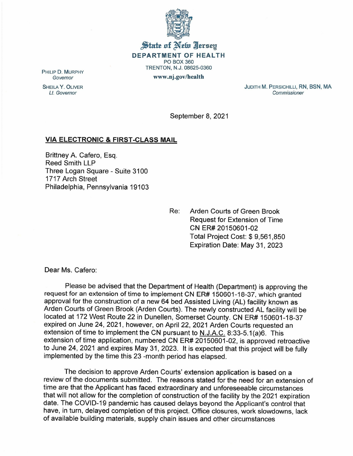

State of New Jersey DEPARTMENT OF HEALTH PO BOX 360 TRENTON, N.J. 08625-0360

www.nj.gov/health

PHILIP D. MURPHY *Governor*

SHEILA Y. OLIVER *Lt. Governor*

JUDITH M. PERSICHILLI, RN, BSN, MA *Commissioner*

September 8, 2021

## VIA ELECTRONIC & FIRST-CLASS MAIL

Brittney A. Cafero, Esq. Reed Smith LLP Three Logan Square - Suite 3100 1717 Arch Street Philadelphia, Pennsylvania 19103

> Re: Arden Courts of Green Brook Request for Extension of Time CN ER# 20150601-02 Total Project Cost: \$ 9,561,850 Expiration Date: May 31,2023

Dear Ms. Cafero:

Please be advised that the Department of Health (Department) is approving the request for an extension of time to implement CN ER# 150601-18-37, which granted approval for the construction of a new 64 bed Assisted Living (AL) facility known as Arden Courts of Green Brook (Arden Courts). The newly constructed AL facility will be located at 172 West Route 22 in Dunellen, Somerset County. CN ER# 150601-18-37 expired on June 24, 2021, however, on April 22, 2021 Arden Courts requested an extension of time to implement the CN pursuant to  $N.L.A.C. 8:33-5.1(a)6.$  This extension of time application, numbered CN ER# 20150601-02, is approved retroactive to June 24, 2021 and expires May 31, 2023. It is expected that this project will be fully implemented by the time this 23 -month period has elapsed.

The decision to approve Arden Courts' extension application is based on a review of the documents submitted. The reasons stated for the need for an extension of time are that the Applicant has faced extraordinary and unforeseeable circumstances that will not allow for the completion of construction of the facility by the 2021 expiration date. The COVID-19 pandemic has caused delays beyond the Applicant's control that have, in turn, delayed completion of this project. Office closures, work slowdowns, lack of available building materials, supply chain issues and other circumstances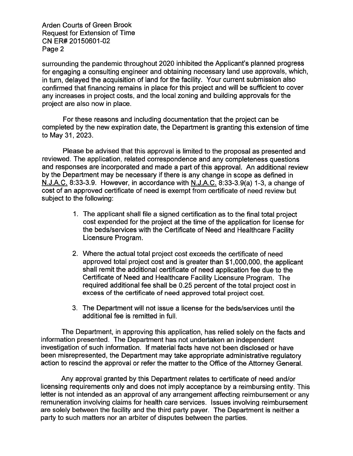Arden Courts of Green Brook Request for Extension of Time CN ER# 20150601-02 Page 2

surrounding the pandemic throughout 2020 inhibited the Applicant's planned progress for engaging a consulting engineer and obtaining necessary land use approvals, which, in turn, delayed the acquisition of land for the facility. Your current submission also confirmed that financing remains in place for this project and will be sufficient to cover any increases in project costs, and the local zoning and building approvals for the project are also now in place.

For these reasons and including documentation that the project can be completed by the new expiration date, the Department is granting this extension of time to May 31,2023.

Please be advised that this approval is limited to the proposal as presented and reviewed. The application, related correspondence and any completeness questions and responses are incorporated and made a part of this approval. An additional review by the Department may be necessary if there is any change in scope as defined in N.J.A.C.8:33-3.9. However, in accordance with N.J.A.C. 8:33-3.9(a) 1-3, a change of cost of an approved certificate of need is exempt from certificate of need review but subject to the following:

- 1. The applicant shall file a signed certification as to the final total project cost expended for the project at the time of the application for license for the beds/services with the Certificate of Need and Healthcare Facility Licensure Program.
- 2. Where the actual total project cost exceeds the certificate of need approved total project cost and is greater than \$1,000,000, the applicant shall remit the additional certificate of need application fee due to the Certificate of Need and Healthcare Facility Licensure Program. The required additional fee shall be 0.25 percent of the total project cost in excess of the certificate of need approved total project cost.
- 3. The Department will not issue a license for the beds/services until the additional fee is remitted in full.

The Department, in approving this application, has relied solely on the facts and information presented. The Department has not undertaken an independent investigation of such information. If material facts have not been disclosed or have been misrepresented, the Department may take appropriate administrative regulatory action to rescind the approval or refer the matter to the Office of the Attorney General.

Any approval granted by this Department relates to certificate of need and/or licensing requirements only and does not imply acceptance by a reimbursing entity. This letter is not intended as an approval of any arrangement affecting reimbursement or any remuneration involving claims for health care services. Issues involving reimbursement are solely between the facility and the third party payer. The Department is neither a party to such matters nor an arbiter of disputes between the parties.